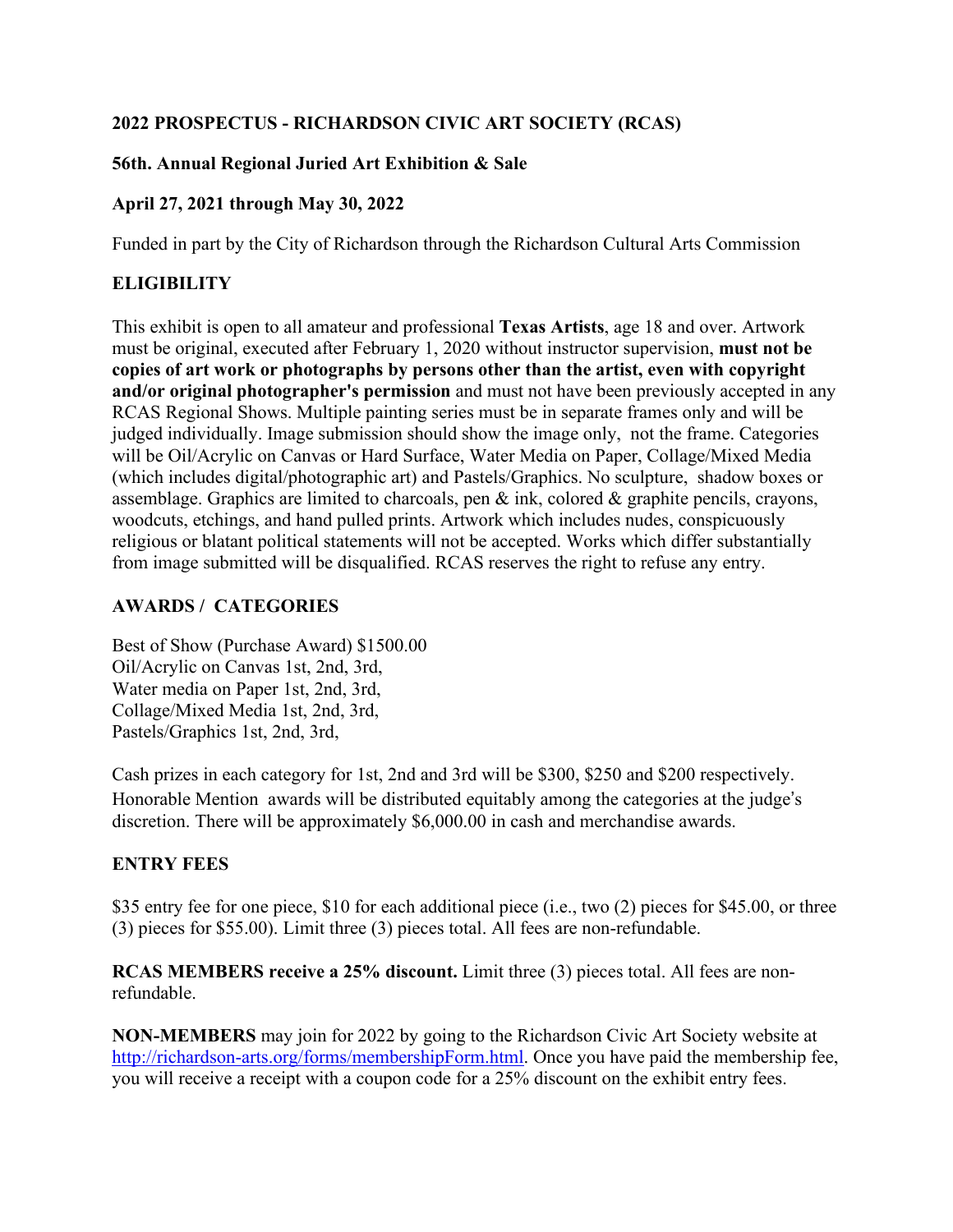## **2022 PROSPECTUS - RICHARDSON CIVIC ART SOCIETY (RCAS)**

### **56th. Annual Regional Juried Art Exhibition & Sale**

## **April 27, 2021 through May 30, 2022**

Funded in part by the City of Richardson through the Richardson Cultural Arts Commission

# **ELIGIBILITY**

This exhibit is open to all amateur and professional **Texas Artists**, age 18 and over. Artwork must be original, executed after February 1, 2020 without instructor supervision, **must not be copies of art work or photographs by persons other than the artist, even with copyright and/or original photographer's permission** and must not have been previously accepted in any RCAS Regional Shows. Multiple painting series must be in separate frames only and will be judged individually. Image submission should show the image only, not the frame. Categories will be Oil/Acrylic on Canvas or Hard Surface, Water Media on Paper, Collage/Mixed Media (which includes digital/photographic art) and Pastels/Graphics. No sculpture, shadow boxes or assemblage. Graphics are limited to charcoals, pen & ink, colored & graphite pencils, crayons, woodcuts, etchings, and hand pulled prints. Artwork which includes nudes, conspicuously religious or blatant political statements will not be accepted. Works which differ substantially from image submitted will be disqualified. RCAS reserves the right to refuse any entry.

# **AWARDS / CATEGORIES**

Best of Show (Purchase Award) \$1500.00 Oil/Acrylic on Canvas 1st, 2nd, 3rd, Water media on Paper 1st, 2nd, 3rd, Collage/Mixed Media 1st, 2nd, 3rd, Pastels/Graphics 1st, 2nd, 3rd,

Cash prizes in each category for 1st, 2nd and 3rd will be \$300, \$250 and \$200 respectively. Honorable Mention awards will be distributed equitably among the categories at the judge's discretion. There will be approximately \$6,000.00 in cash and merchandise awards.

# **ENTRY FEES**

\$35 entry fee for one piece, \$10 for each additional piece (i.e., two (2) pieces for \$45.00, or three (3) pieces for \$55.00). Limit three (3) pieces total. All fees are non-refundable.

**RCAS MEMBERS receive a 25% discount.** Limit three (3) pieces total. All fees are nonrefundable.

**NON-MEMBERS** may join for 2022 by going to the Richardson Civic Art Society website at [http://richardson-arts.org/forms/membershipForm.html.](http://richardson-arts.org/forms/membershipForm.html) Once you have paid the membership fee, you will receive a receipt with a coupon code for a 25% discount on the exhibit entry fees.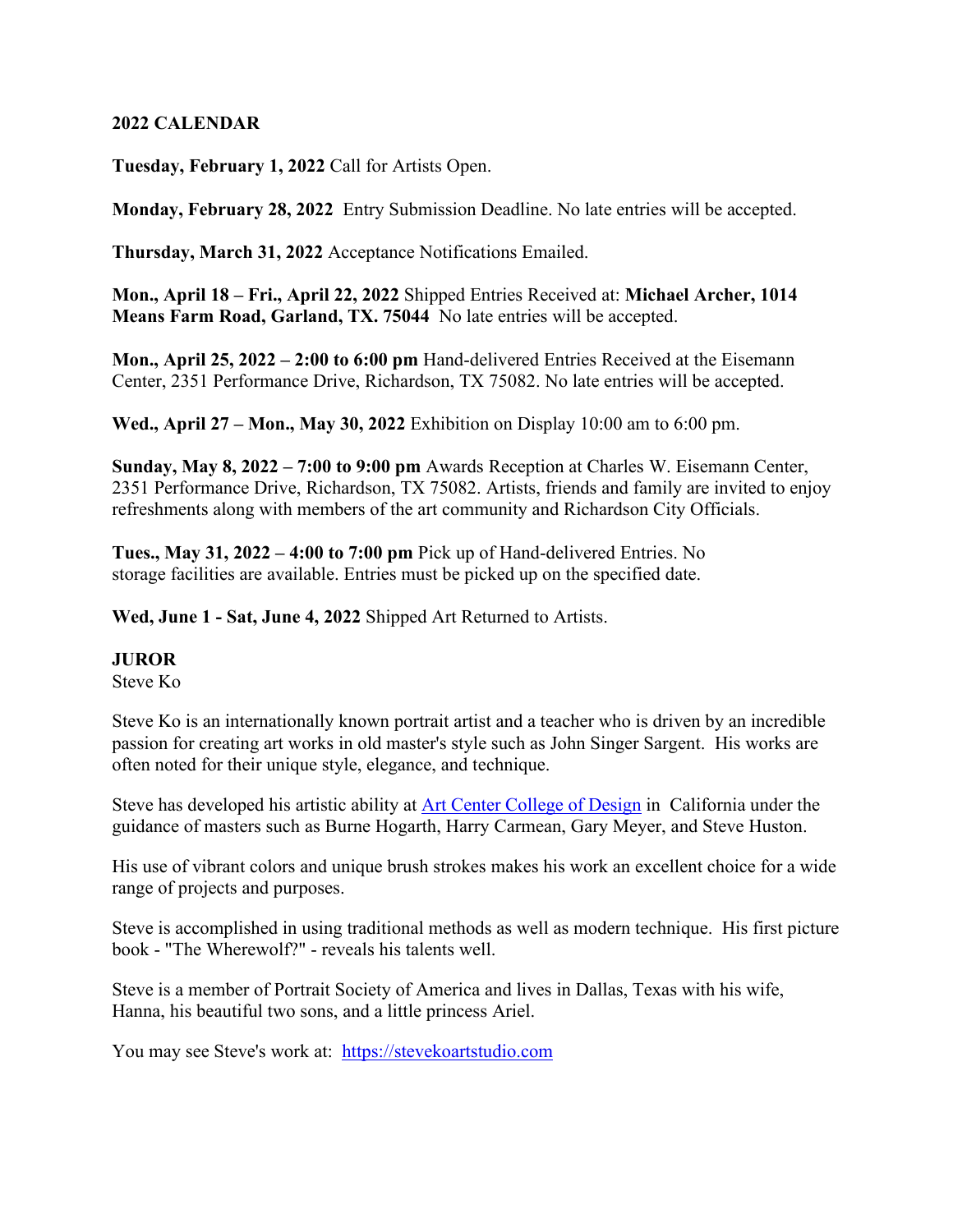#### **2022 CALENDAR**

**Tuesday, February 1, 2022** Call for Artists Open.

**Monday, February 28, 2022** Entry Submission Deadline. No late entries will be accepted.

**Thursday, March 31, 2022** Acceptance Notifications Emailed.

**Mon., April 18 – Fri., April 22, 2022** Shipped Entries Received at: **Michael Archer, 1014 Means Farm Road, Garland, TX. 75044** No late entries will be accepted.

**Mon., April 25, 2022 – 2:00 to 6:00 pm** Hand-delivered Entries Received at the Eisemann Center, 2351 Performance Drive, Richardson, TX 75082. No late entries will be accepted.

**Wed., April 27 – Mon., May 30, 2022** Exhibition on Display 10:00 am to 6:00 pm.

**Sunday, May 8, 2022 – 7:00 to 9:00 pm** Awards Reception at Charles W. Eisemann Center, 2351 Performance Drive, Richardson, TX 75082. Artists, friends and family are invited to enjoy refreshments along with members of the art community and Richardson City Officials.

**Tues., May 31, 2022 – 4:00 to 7:00 pm** Pick up of Hand-delivered Entries. No storage facilities are available. Entries must be picked up on the specified date.

**Wed, June 1 - Sat, June 4, 2022** Shipped Art Returned to Artists.

#### **JUROR**

Steve Ko

Steve Ko is an internationally known portrait artist and a teacher who is driven by an incredible passion for creating art works in old master's style such as John Singer Sargent. His works are often noted for their unique style, elegance, and technique.

Steve has developed his artistic ability at Art Center [College](http://www.youtube.com/watch?v=QfrEI6gyO4M) of Design in California under the guidance of masters such as Burne Hogarth, Harry Carmean, Gary Meyer, and Steve Huston.

His use of vibrant colors and unique brush strokes makes his work an excellent choice for a wide range of projects and purposes.

Steve is accomplished in using traditional methods as well as modern technique. His first picture book - "The Wherewolf?" - reveals his talents well.

Steve is a member of Portrait Society of America and lives in Dallas, Texas with his wife, Hanna, his beautiful two sons, and a little princess Ariel.

You may see Steve's work at: [https://stevekoartstudio.com](https://stevekoartstudio.com/)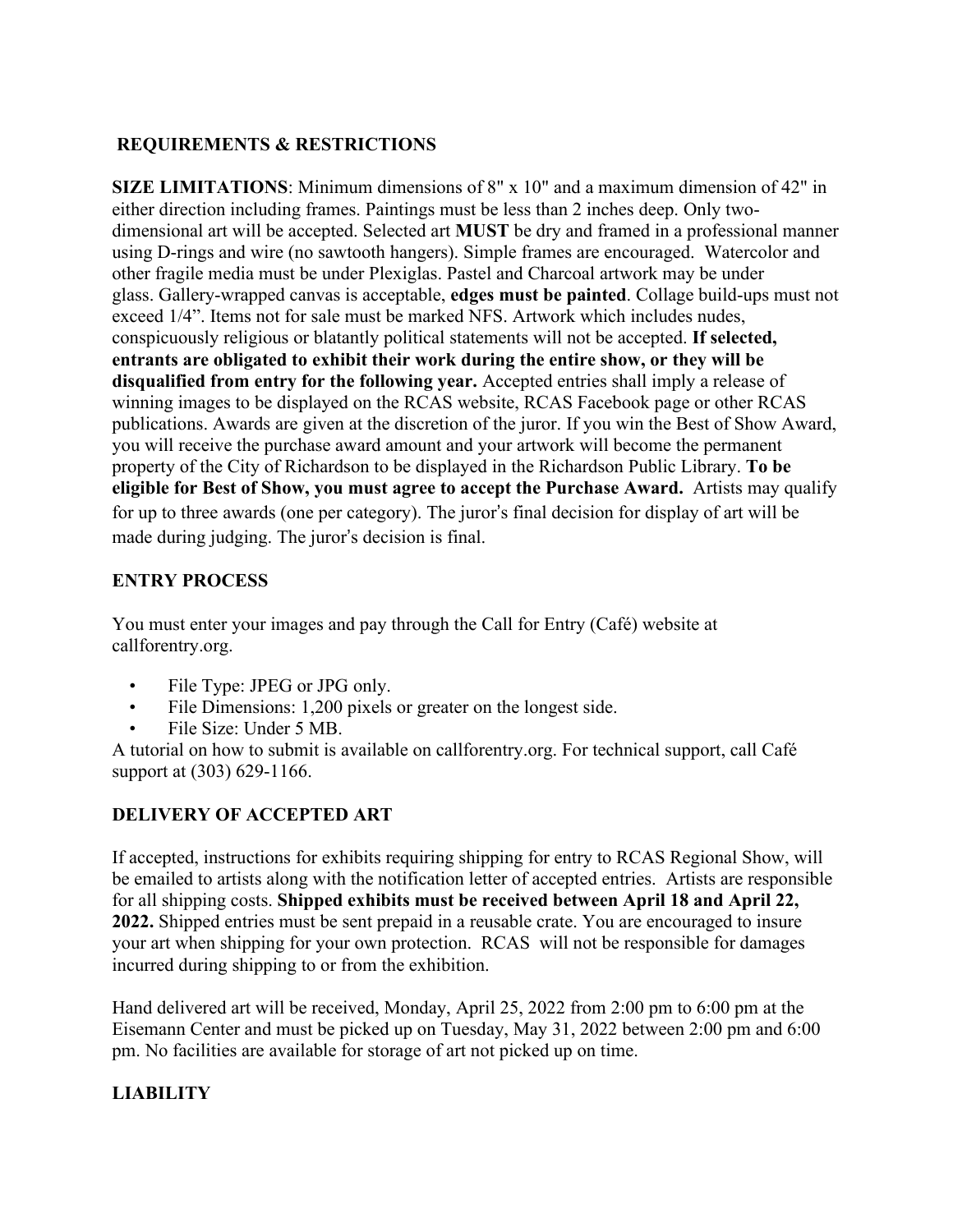## **REQUIREMENTS & RESTRICTIONS**

**SIZE LIMITATIONS**: Minimum dimensions of 8" x 10" and a maximum dimension of 42" in either direction including frames. Paintings must be less than 2 inches deep. Only twodimensional art will be accepted. Selected art **MUST** be dry and framed in a professional manner using D-rings and wire (no sawtooth hangers). Simple frames are encouraged. Watercolor and other fragile media must be under Plexiglas. Pastel and Charcoal artwork may be under glass. Gallery-wrapped canvas is acceptable, **edges must be painted**. Collage build-ups must not exceed 1/4". Items not for sale must be marked NFS. Artwork which includes nudes, conspicuously religious or blatantly political statements will not be accepted. **If selected, entrants are obligated to exhibit their work during the entire show, or they will be disqualified from entry for the following year.** Accepted entries shall imply a release of winning images to be displayed on the RCAS website, RCAS Facebook page or other RCAS publications. Awards are given at the discretion of the juror. If you win the Best of Show Award, you will receive the purchase award amount and your artwork will become the permanent property of the City of Richardson to be displayed in the Richardson Public Library. **To be eligible for Best of Show, you must agree to accept the Purchase Award.** Artists may qualify for up to three awards (one per category). The juror's final decision for display of art will be made during judging. The juror's decision is final.

## **ENTRY PROCESS**

You must enter your images and pay through the Call for Entry (Café) website at callforentry.org.

- File Type: JPEG or JPG only.
- File Dimensions: 1,200 pixels or greater on the longest side.
- File Size: Under 5 MB.

A tutorial on how to submit is available on callforentry.org. For technical support, call Café support at (303) 629-1166.

# **DELIVERY OF ACCEPTED ART**

If accepted, instructions for exhibits requiring shipping for entry to RCAS Regional Show, will be emailed to artists along with the notification letter of accepted entries. Artists are responsible for all shipping costs. **Shipped exhibits must be received between April 18 and April 22, 2022.** Shipped entries must be sent prepaid in a reusable crate. You are encouraged to insure your art when shipping for your own protection. RCAS will not be responsible for damages incurred during shipping to or from the exhibition.

Hand delivered art will be received, Monday, April 25, 2022 from 2:00 pm to 6:00 pm at the Eisemann Center and must be picked up on Tuesday, May 31, 2022 between 2:00 pm and 6:00 pm. No facilities are available for storage of art not picked up on time.

# **LIABILITY**